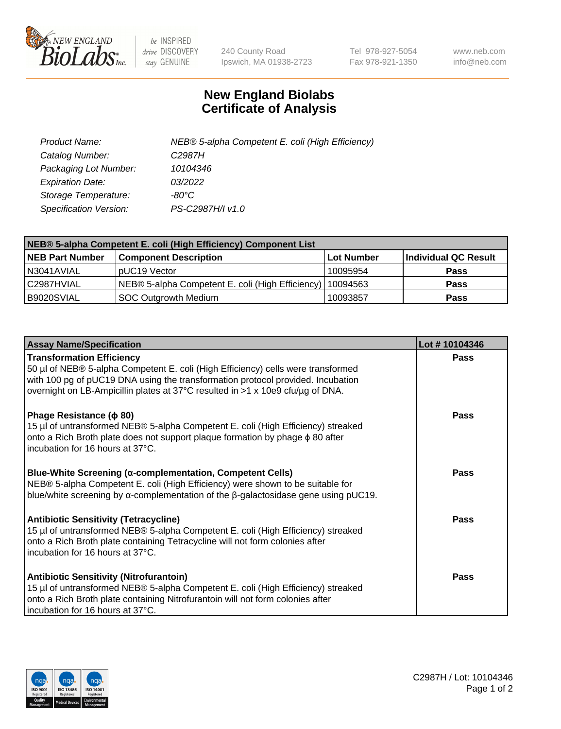

 $be$  INSPIRED drive DISCOVERY stay GENUINE

240 County Road Ipswich, MA 01938-2723 Tel 978-927-5054 Fax 978-921-1350 www.neb.com info@neb.com

## **New England Biolabs Certificate of Analysis**

| Product Name:           | NEB® 5-alpha Competent E. coli (High Efficiency) |
|-------------------------|--------------------------------------------------|
| Catalog Number:         | C <sub>2987</sub> H                              |
| Packaging Lot Number:   | 10104346                                         |
| <b>Expiration Date:</b> | 03/2022                                          |
| Storage Temperature:    | -80°C.                                           |
| Specification Version:  | PS-C2987H/I v1.0                                 |

| NEB® 5-alpha Competent E. coli (High Efficiency) Component List |                                                  |                   |                      |  |
|-----------------------------------------------------------------|--------------------------------------------------|-------------------|----------------------|--|
| <b>NEB Part Number</b>                                          | <b>Component Description</b>                     | <b>Lot Number</b> | Individual QC Result |  |
| N3041AVIAL                                                      | pUC19 Vector                                     | 10095954          | <b>Pass</b>          |  |
| C2987HVIAL                                                      | NEB® 5-alpha Competent E. coli (High Efficiency) | 10094563          | <b>Pass</b>          |  |
| B9020SVIAL                                                      | <b>SOC Outgrowth Medium</b>                      | 10093857          | <b>Pass</b>          |  |

| <b>Assay Name/Specification</b>                                                                                                                                                                                                                                                           | Lot #10104346 |
|-------------------------------------------------------------------------------------------------------------------------------------------------------------------------------------------------------------------------------------------------------------------------------------------|---------------|
| <b>Transformation Efficiency</b><br>50 µl of NEB® 5-alpha Competent E. coli (High Efficiency) cells were transformed<br>with 100 pg of pUC19 DNA using the transformation protocol provided. Incubation<br>overnight on LB-Ampicillin plates at 37°C resulted in >1 x 10e9 cfu/µg of DNA. | Pass          |
| Phage Resistance ( $\phi$ 80)<br>15 µl of untransformed NEB® 5-alpha Competent E. coli (High Efficiency) streaked<br>onto a Rich Broth plate does not support plaque formation by phage $\phi$ 80 after<br>incubation for 16 hours at 37°C.                                               | Pass          |
| <b>Blue-White Screening (α-complementation, Competent Cells)</b><br>NEB® 5-alpha Competent E. coli (High Efficiency) were shown to be suitable for<br>blue/white screening by $\alpha$ -complementation of the $\beta$ -galactosidase gene using pUC19.                                   | Pass          |
| Antibiotic Sensitivity (Tetracycline)<br>15 µl of untransformed NEB® 5-alpha Competent E. coli (High Efficiency) streaked<br>onto a Rich Broth plate containing Tetracycline will not form colonies after<br>incubation for 16 hours at 37°C.                                             | Pass          |
| <b>Antibiotic Sensitivity (Nitrofurantoin)</b><br>15 µl of untransformed NEB® 5-alpha Competent E. coli (High Efficiency) streaked<br>onto a Rich Broth plate containing Nitrofurantoin will not form colonies after<br>incubation for 16 hours at 37°C.                                  | Pass          |